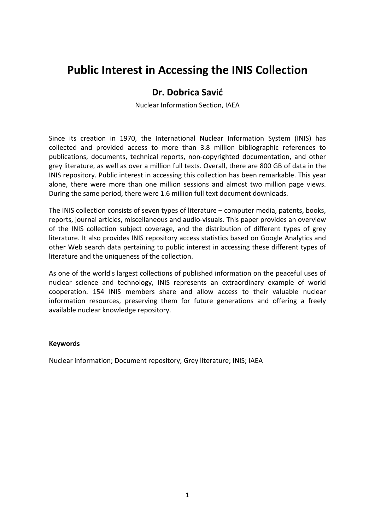# **Public Interest in Accessing the INIS Collection**

# **Dr. Dobrica Savić**

Nuclear Information Section, IAEA

Since its creation in 1970, the International Nuclear Information System (INIS) has collected and provided access to more than 3.8 million bibliographic references to publications, documents, technical reports, non‐copyrighted documentation, and other grey literature, as well as over a million full texts. Overall, there are 800 GB of data in the INIS repository. Public interest in accessing this collection has been remarkable. This year alone, there were more than one million sessions and almost two million page views. During the same period, there were 1.6 million full text document downloads.

The INIS collection consists of seven types of literature – computer media, patents, books, reports, journal articles, miscellaneous and audio‐visuals. This paper provides an overview of the INIS collection subject coverage, and the distribution of different types of grey literature. It also provides INIS repository access statistics based on Google Analytics and other Web search data pertaining to public interest in accessing these different types of literature and the uniqueness of the collection.

As one of the world's largest collections of published information on the peaceful uses of nuclear science and technology, INIS represents an extraordinary example of world cooperation. 154 INIS members share and allow access to their valuable nuclear information resources, preserving them for future generations and offering a freely available nuclear knowledge repository.

#### **Keywords**

Nuclear information; Document repository; Grey literature; INIS; IAEA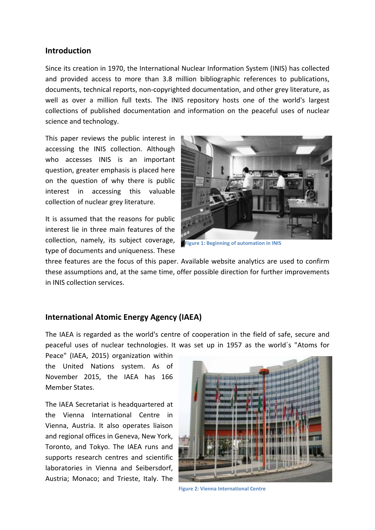#### **Introduction**

Since its creation in 1970, the International Nuclear Information System (INIS) has collected and provided access to more than 3.8 million bibliographic references to publications, documents, technical reports, non‐copyrighted documentation, and other grey literature, as well as over a million full texts. The INIS repository hosts one of the world's largest collections of published documentation and information on the peaceful uses of nuclear science and technology.

This paper reviews the public interest in accessing the INIS collection. Although who accesses INIS is an important question, greater emphasis is placed here on the question of why there is public interest in accessing this valuable collection of nuclear grey literature.

It is assumed that the reasons for public interest lie in three main features of the collection, namely, its subject coverage, type of documents and uniqueness. These



**Figure 1: Beginning of automation in INIS**

three features are the focus of this paper. Available website analytics are used to confirm these assumptions and, at the same time, offer possible direction for further improvements in INIS collection services.

## **International Atomic Energy Agency (IAEA)**

The IAEA is regarded as the world's centre of cooperation in the field of safe, secure and peaceful uses of nuclear technologies. It was set up in 1957 as the world´s "Atoms for

Peace" (IAEA, 2015) organization within the United Nations system. As of November 2015, the IAEA has 166 Member States.

The IAEA Secretariat is headquartered at the Vienna International Centre in Vienna, Austria. It also operates liaison and regional offices in Geneva, New York, Toronto, and Tokyo. The IAEA runs and supports research centres and scientific laboratories in Vienna and Seibersdorf, Austria; Monaco; and Trieste, Italy. The



**Figure 2: Vienna International Centre**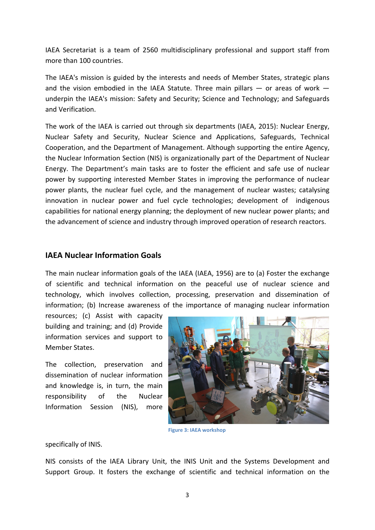IAEA Secretariat is a team of 2560 multidisciplinary professional and support staff from more than 100 countries.

The IAEA's mission is guided by the interests and needs of Member States, strategic plans and the vision embodied in the IAEA Statute. Three main pillars  $-$  or areas of work  $$ underpin the IAEA's mission: Safety and Security; Science and Technology; and Safeguards and Verification.

The work of the IAEA is carried out through six departments (IAEA, 2015): Nuclear Energy, Nuclear Safety and Security, Nuclear Science and Applications, Safeguards, Technical Cooperation, and the Department of Management. Although supporting the entire Agency, the Nuclear Information Section (NIS) is organizationally part of the Department of Nuclear Energy. The Department's main tasks are to foster the efficient and safe use of nuclear power by supporting interested Member States in improving the performance of nuclear power plants, the nuclear fuel cycle, and the management of nuclear wastes; catalysing innovation in nuclear power and fuel cycle technologies; development of indigenous capabilities for national energy planning; the deployment of new nuclear power plants; and the advancement of science and industry through improved operation of research reactors.

#### **IAEA Nuclear Information Goals**

The main nuclear information goals of the IAEA (IAEA, 1956) are to (a) Foster the exchange of scientific and technical information on the peaceful use of nuclear science and technology, which involves collection, processing, preservation and dissemination of information; (b) Increase awareness of the importance of managing nuclear information

resources; (c) Assist with capacity building and training; and (d) Provide information services and support to Member States.

The collection, preservation and dissemination of nuclear information and knowledge is, in turn, the main responsibility of the Nuclear Information Session (NIS), more



**Figure 3: IAEA workshop**

specifically of INIS.

NIS consists of the IAEA Library Unit, the INIS Unit and the Systems Development and Support Group. It fosters the exchange of scientific and technical information on the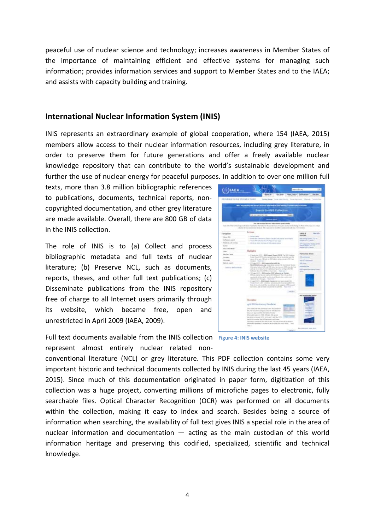peaceful use of nuclear science and technology; increases awareness in Member States of the importance of maintaining efficient and effective systems for managing such information; provides information services and support to Member States and to the IAEA; and assists with capacity building and training.

#### **International Nuclear Information System (INIS)**

INIS represents an extraordinary example of global cooperation, where 154 (IAEA, 2015) members allow access to their nuclear information resources, including grey literature, in order to preserve them for future generations and offer a freely available nuclear knowledge repository that can contribute to the world's sustainable development and further the use of nuclear energy for peaceful purposes. In addition to over one million full

texts, more than 3.8 million bibliographic references to publications, documents, technical reports, non‐ copyrighted documentation, and other grey literature are made available. Overall, there are 800 GB of data in the INIS collection.

The role of INIS is to (a) Collect and process bibliographic metadata and full texts of nuclear literature; (b) Preserve NCL, such as documents, reports, theses, and other full text publications; (c) Disseminate publications from the INIS repository free of charge to all Internet users primarily through its website, which became free, open and unrestricted in April 2009 (IAEA, 2009).

Full text documents available from the INIS collection **Figure 4: INIS website**represent almost entirely nuclear related non‐

conventional literature (NCL) or grey literature. This PDF collection contains some very important historic and technical documents collected by INIS during the last 45 years (IAEA, 2015). Since much of this documentation originated in paper form, digitization of this collection was a huge project, converting millions of microfiche pages to electronic, fully searchable files. Optical Character Recognition (OCR) was performed on all documents within the collection, making it easy to index and search. Besides being a source of information when searching, the availability of full text gives INIS a special role in the area of nuclear information and documentation — acting as the main custodian of this world information heritage and preserving this codified, specialized, scientific and technical knowledge.



(S)IAEA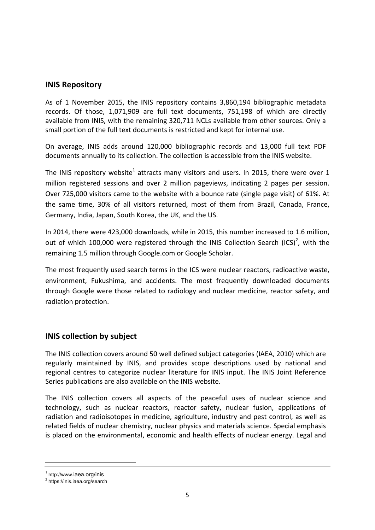#### **INIS Repository**

As of 1 November 2015, the INIS repository contains 3,860,194 bibliographic metadata records. Of those, 1,071,909 are full text documents, 751,198 of which are directly available from INIS, with the remaining 320,711 NCLs available from other sources. Only a small portion of the full text documents is restricted and kept for internal use.

On average, INIS adds around 120,000 bibliographic records and 13,000 full text PDF documents annually to its collection. The collection is accessible from the INIS website.

The INIS repository website<sup>1</sup> attracts many visitors and users. In 2015, there were over 1 million registered sessions and over 2 million pageviews, indicating 2 pages per session. Over 725,000 visitors came to the website with a bounce rate (single page visit) of 61%. At the same time, 30% of all visitors returned, most of them from Brazil, Canada, France, Germany, India, Japan, South Korea, the UK, and the US.

In 2014, there were 423,000 downloads, while in 2015, this number increased to 1.6 million, out of which 100,000 were registered through the INIS Collection Search (ICS)<sup>2</sup>, with the remaining 1.5 million through Google.com or Google Scholar.

The most frequently used search terms in the ICS were nuclear reactors, radioactive waste, environment, Fukushima, and accidents. The most frequently downloaded documents through Google were those related to radiology and nuclear medicine, reactor safety, and radiation protection.

## **INIS collection by subject**

The INIS collection covers around 50 well defined subject categories (IAEA, 2010) which are regularly maintained by INIS, and provides scope descriptions used by national and regional centres to categorize nuclear literature for INIS input. The INIS Joint Reference Series publications are also available on the INIS website.

The INIS collection covers all aspects of the peaceful uses of nuclear science and technology, such as nuclear reactors, reactor safety, nuclear fusion, applications of radiation and radioisotopes in medicine, agriculture, industry and pest control, as well as related fields of nuclear chemistry, nuclear physics and materials science. Special emphasis is placed on the environmental, economic and health effects of nuclear energy. Legal and

<sup>1</sup> http://www.iaea.org/inis

<sup>&</sup>lt;sup>2</sup> https://inis.iaea.org/search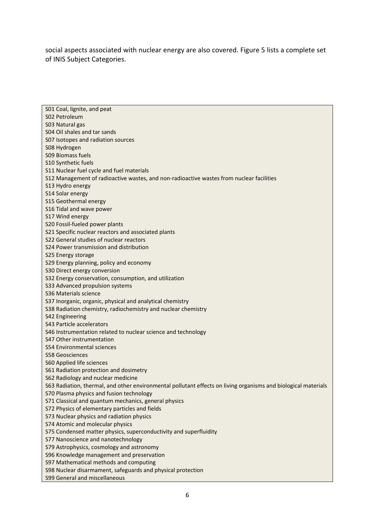social aspects associated with nuclear energy are also covered. Figure 5 lists a complete set of INIS Subject Categories.

| S01 Coal, lignite, and peat                                                                                    |
|----------------------------------------------------------------------------------------------------------------|
| S02 Petroleum                                                                                                  |
| S03 Natural gas                                                                                                |
| S04 Oil shales and tar sands                                                                                   |
| S07 Isotopes and radiation sources                                                                             |
| S08 Hydrogen                                                                                                   |
| <b>S09 Biomass fuels</b>                                                                                       |
| S10 Synthetic fuels                                                                                            |
| S11 Nuclear fuel cycle and fuel materials                                                                      |
| S12 Management of radioactive wastes, and non-radioactive wastes from nuclear facilities                       |
| S13 Hydro energy                                                                                               |
| S14 Solar energy                                                                                               |
| S15 Geothermal energy                                                                                          |
| S16 Tidal and wave power                                                                                       |
| S17 Wind energy                                                                                                |
| S20 Fossil-fueled power plants                                                                                 |
| S21 Specific nuclear reactors and associated plants                                                            |
| S22 General studies of nuclear reactors                                                                        |
| S24 Power transmission and distribution                                                                        |
| S25 Energy storage                                                                                             |
| S29 Energy planning, policy and economy                                                                        |
| S30 Direct energy conversion                                                                                   |
| S32 Energy conservation, consumption, and utilization                                                          |
| S33 Advanced propulsion systems                                                                                |
| S36 Materials science                                                                                          |
| S37 Inorganic, organic, physical and analytical chemistry                                                      |
| S38 Radiation chemistry, radiochemistry and nuclear chemistry                                                  |
| <b>S42 Engineering</b>                                                                                         |
| S43 Particle accelerators                                                                                      |
| S46 Instrumentation related to nuclear science and technology                                                  |
| S47 Other instrumentation                                                                                      |
| <b>S54 Environmental sciences</b>                                                                              |
| <b>S58 Geosciences</b>                                                                                         |
| <b>S60 Applied life sciences</b>                                                                               |
| S61 Radiation protection and dosimetry                                                                         |
| S62 Radiology and nuclear medicine                                                                             |
| S63 Radiation, thermal, and other environmental pollutant effects on living organisms and biological materials |
| S70 Plasma physics and fusion technology                                                                       |
| S71 Classical and quantum mechanics, general physics                                                           |
| S72 Physics of elementary particles and fields                                                                 |
| S73 Nuclear physics and radiation physics                                                                      |
| S74 Atomic and molecular physics                                                                               |
| S75 Condensed matter physics, superconductivity and superfluidity                                              |
| S77 Nanoscience and nanotechnology                                                                             |
| S79 Astrophysics, cosmology and astronomy                                                                      |
| S96 Knowledge management and preservation                                                                      |
| S97 Mathematical methods and computing                                                                         |
| S98 Nuclear disarmament, safeguards and physical protection                                                    |
| <b>S99 General and miscellaneous</b>                                                                           |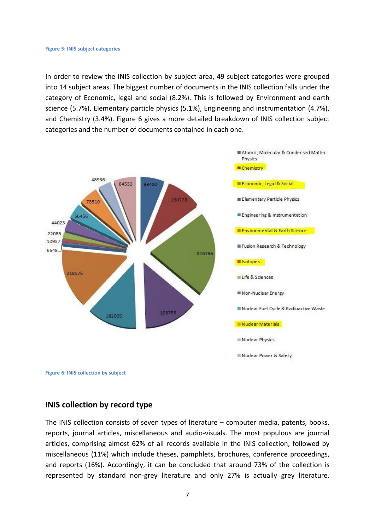#### **Figure 5: INIS subject categories**

In order to review the INIS collection by subject area, 49 subject categories were grouped into 14 subject areas. The biggest number of documents in the INIS collection falls under the category of Economic, legal and social (8.2%). This is followed by Environment and earth science (5.7%), Elementary particle physics (5.1%), Engineering and instrumentation (4.7%), and Chemistry (3.4%). Figure 6 gives a more detailed breakdown of INIS collection subject categories and the number of documents contained in each one.





#### **INIS collection by record type**

The INIS collection consists of seven types of literature – computer media, patents, books, reports, journal articles, miscellaneous and audio‐visuals. The most populous are journal articles, comprising almost 62% of all records available in the INIS collection, followed by miscellaneous (11%) which include theses, pamphlets, brochures, conference proceedings, and reports (16%). Accordingly, it can be concluded that around 73% of the collection is represented by standard non‐grey literature and only 27% is actually grey literature.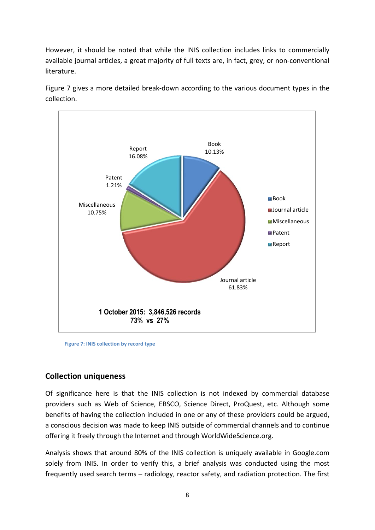However, it should be noted that while the INIS collection includes links to commercially available journal articles, a great majority of full texts are, in fact, grey, or non‐conventional literature.

Figure 7 gives a more detailed break-down according to the various document types in the collection.



 **Figure 7: INIS collection by record type**

# **Collection uniqueness**

Of significance here is that the INIS collection is not indexed by commercial database providers such as Web of Science, EBSCO, Science Direct, ProQuest, etc. Although some benefits of having the collection included in one or any of these providers could be argued, a conscious decision was made to keep INIS outside of commercial channels and to continue offering it freely through the Internet and through WorldWideScience.org.

Analysis shows that around 80% of the INIS collection is uniquely available in Google.com solely from INIS. In order to verify this, a brief analysis was conducted using the most frequently used search terms – radiology, reactor safety, and radiation protection. The first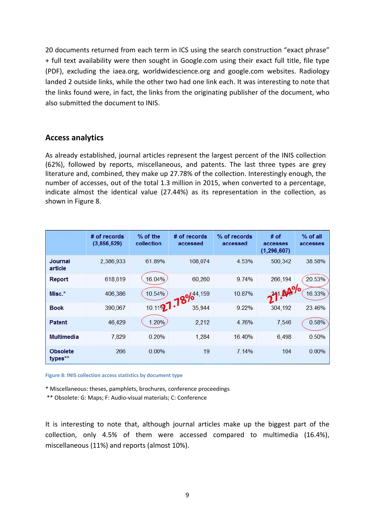20 documents returned from each term in ICS using the search construction "exact phrase" + full text availability were then sought in Google.com using their exact full title, file type (PDF), excluding the iaea.org, worldwidescience.org and google.com websites. Radiology landed 2 outside links, while the other two had one link each. It was interesting to note that the links found were, in fact, the links from the originating publisher of the document, who also submitted the document to INIS.

## **Access analytics**

As already established, journal articles represent the largest percent of the INIS collection (62%), followed by reports, miscellaneous, and patents. The last three types are grey literature and, combined, they make up 27.78% of the collection. Interestingly enough, the number of accesses, out of the total 1.3 million in 2015, when converted to a percentage, indicate almost the identical value (27.44%) as its representation in the collection, as shown in Figure 8.

|                            | # of records<br>(3,856,529) | % of the<br>collection | # of records<br>accessed | % of records<br>accessed | $#$ of<br>accesses<br>(1, 296, 607) | % of all<br>accesses |
|----------------------------|-----------------------------|------------------------|--------------------------|--------------------------|-------------------------------------|----------------------|
| <b>Journal</b><br>article  | 2,386,933                   | 61.89%                 | 108,074                  | 4.53%                    | 500,342                             | 38.58%               |
| Report                     | 618,619                     | 16.04%                 | 60,260                   | 9.74%                    | 266,194                             | 20.53%               |
| $Misc.*$                   | 406,386                     |                        | 10.1127.78%              | 10.87%                   | 271.04%                             | 16.33%               |
| <b>Book</b>                | 390,067                     |                        |                          | 9.22%                    | 304,192                             | 23.46%               |
| Patent                     | 46,429                      | 1.20%                  | 2,212                    | 4.76%                    | 7,546                               | 0.58%                |
| <b>Multimedia</b>          | 7,829                       | 0.20%                  | 1,284                    | 16.40%                   | 6,498                               | 0.50%                |
| <b>Obsolete</b><br>types** | 266                         | 0.00%                  | 19                       | 7.14%                    | 104                                 | $0.00\%$             |

**Figure 8: INIS collection access statistics by document type**

\* Miscellaneous: theses, pamphlets, brochures, conference proceedings

\*\* Obsolete: G: Maps; F: Audio‐visual materials; C: Conference

It is interesting to note that, although journal articles make up the biggest part of the collection, only 4.5% of them were accessed compared to multimedia (16.4%), miscellaneous (11%) and reports (almost 10%).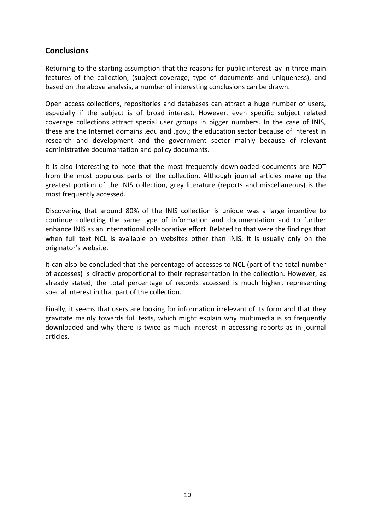# **Conclusions**

Returning to the starting assumption that the reasons for public interest lay in three main features of the collection, (subject coverage, type of documents and uniqueness), and based on the above analysis, a number of interesting conclusions can be drawn.

Open access collections, repositories and databases can attract a huge number of users, especially if the subject is of broad interest. However, even specific subject related coverage collections attract special user groups in bigger numbers. In the case of INIS, these are the Internet domains .edu and .gov.; the education sector because of interest in research and development and the government sector mainly because of relevant administrative documentation and policy documents.

It is also interesting to note that the most frequently downloaded documents are NOT from the most populous parts of the collection. Although journal articles make up the greatest portion of the INIS collection, grey literature (reports and miscellaneous) is the most frequently accessed.

Discovering that around 80% of the INIS collection is unique was a large incentive to continue collecting the same type of information and documentation and to further enhance INIS as an international collaborative effort. Related to that were the findings that when full text NCL is available on websites other than INIS, it is usually only on the originator's website.

It can also be concluded that the percentage of accesses to NCL (part of the total number of accesses) is directly proportional to their representation in the collection. However, as already stated, the total percentage of records accessed is much higher, representing special interest in that part of the collection.

Finally, it seems that users are looking for information irrelevant of its form and that they gravitate mainly towards full texts, which might explain why multimedia is so frequently downloaded and why there is twice as much interest in accessing reports as in journal articles.